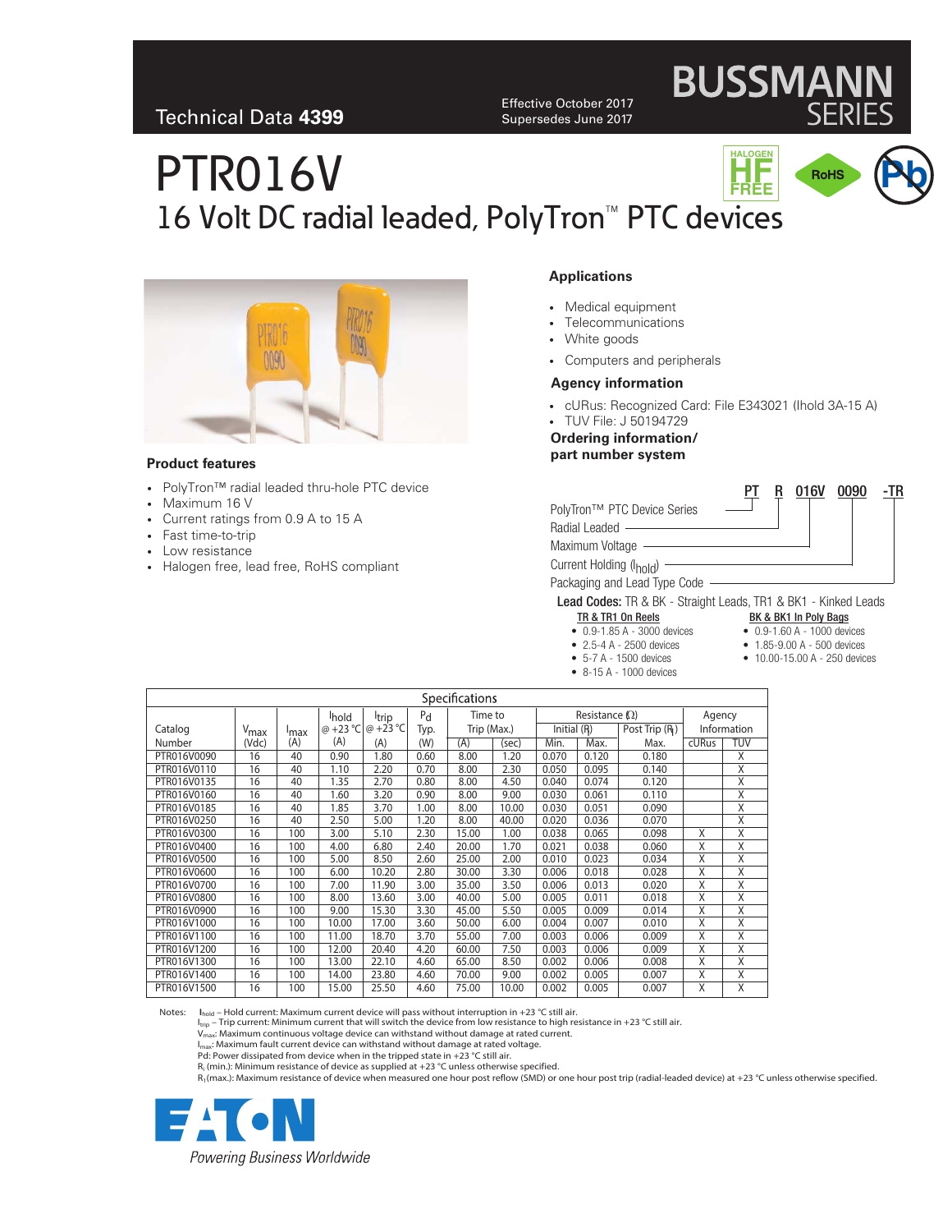Effective October 2017 Supersedes June 2017

# PTR016V 16 Volt DC radial leaded, PolyTron<sup>™</sup> PTC devices **PHALOGEN**<br>FREE **HF FREE**



#### **Product features**

- PolyTron™ radial leaded thru-hole PTC device
- Maximum 16 V
- Current ratings from 0.9 A to 15 A
- Fast time-to-trip
- Low resistance
- Halogen free, lead free, RoHS compliant

### **Applications**

- Medical equipment
- Telecommunications
- White goods
- Computers and peripherals

## **Agency information**

- cURus: Recognized Card: File E343021 (Ihold 3A-15 A)
- TUV File: J 50194729 **Ordering information/**

**part number system**

|                                                                       |  | UIDV                  | <b>UNAN</b> | -16 |
|-----------------------------------------------------------------------|--|-----------------------|-------------|-----|
| PolyTron™ PTC Device Series                                           |  |                       |             |     |
| Radial Leaded ————                                                    |  |                       |             |     |
| Maximum Voltage                                                       |  |                       |             |     |
| Current Holding (I <sub>hold</sub> ) -                                |  |                       |             |     |
| Packaging and Lead Type Code -                                        |  |                       |             |     |
| <b>Lead Codes:</b> TR & BK - Straight Leads, TR1 & BK1 - Kinked Leads |  |                       |             |     |
| TR & TR1 On Reels                                                     |  | BK & BK1 In Poly Bags |             |     |

- 0.9-1.85 A 3000 devices
- 2.5-4 A 2500 devices
- 5-7 A 1500 devices
- 8-15 A 1000 devices
- 0.9-1.60 A 1000 devices

 $PT$  R 016V 0000  $TD$ 

**BUSSMANN** 

- 1.85-9.00 A 500 devices
	- 10.00-15.00 A 250 devices
- 

| Specifications |                  |                  |          |             |         |             |       |             |                       |               |        |                         |
|----------------|------------------|------------------|----------|-------------|---------|-------------|-------|-------------|-----------------------|---------------|--------|-------------------------|
|                |                  |                  | hold     | Itrip       | $P_{d}$ | Time to     |       |             | Resistance $(\Omega)$ |               | Agency |                         |
| Catalog        | V <sub>max</sub> | <sup>I</sup> max | @ +23 °C | $@ + 23 °C$ | Typ.    | Trip (Max.) |       | Initial (R) |                       | Post Trip (R) |        | Information             |
| Number         | (Vdc)            | (A)              | (A)      | (A)         | (W)     | (A)         | (sec) | Min.        | Max.                  | Max.          | cURus  | <b>TUV</b>              |
| PTR016V0090    | 16               | 40               | 0.90     | 1.80        | 0.60    | 8.00        | 1.20  | 0.070       | 0.120                 | 0.180         |        | Χ                       |
| PTR016V0110    | 16               | 40               | 1.10     | 2.20        | 0.70    | 8.00        | 2.30  | 0.050       | 0.095                 | 0.140         |        | X                       |
| PTR016V0135    | 16               | 40               | 1.35     | 2.70        | 0.80    | 8.00        | 4.50  | 0.040       | 0.074                 | 0.120         |        | $\overline{X}$          |
| PTR016V0160    | 16               | 40               | 1.60     | 3.20        | 0.90    | 8.00        | 9.00  | 0.030       | 0.061                 | 0.110         |        | $\overline{\mathsf{x}}$ |
| PTR016V0185    | 16               | 40               | 1.85     | 3.70        | 1.00    | 8.00        | 10.00 | 0.030       | 0.051                 | 0.090         |        | $\overline{X}$          |
| PTR016V0250    | 16               | 40               | 2.50     | 5.00        | 1.20    | 8.00        | 40.00 | 0.020       | 0.036                 | 0.070         |        | X                       |
| PTR016V0300    | 16               | 100              | 3.00     | 5.10        | 2.30    | 15.00       | 1.00  | 0.038       | 0.065                 | 0.098         | X      | $\overline{X}$          |
| PTR016V0400    | 16               | 100              | 4.00     | 6.80        | 2.40    | 20.00       | 1.70  | 0.021       | 0.038                 | 0.060         | X      | X                       |
| PTR016V0500    | 16               | 100              | 5.00     | 8.50        | 2.60    | 25.00       | 2.00  | 0.010       | 0.023                 | 0.034         | X      | $\overline{x}$          |
| PTR016V0600    | 16               | 100              | 6.00     | 10.20       | 2.80    | 30.00       | 3.30  | 0.006       | 0.018                 | 0.028         | X      | $\overline{\mathsf{x}}$ |
| PTR016V0700    | 16               | 100              | 7.00     | 11.90       | 3.00    | 35.00       | 3.50  | 0.006       | 0.013                 | 0.020         | X      | X                       |
| PTR016V0800    | 16               | 100              | 8.00     | 13.60       | 3.00    | 40.00       | 5.00  | 0.005       | 0.011                 | 0.018         | Χ      | X                       |
| PTR016V0900    | 16               | 100              | 9.00     | 15.30       | 3.30    | 45.00       | 5.50  | 0.005       | 0.009                 | 0.014         | X      | X                       |
| PTR016V1000    | 16               | 100              | 10.00    | 17.00       | 3.60    | 50.00       | 6.00  | 0.004       | 0.007                 | 0.010         | Χ      | $\overline{X}$          |
| PTR016V1100    | 16               | 100              | 11.00    | 18.70       | 3.70    | 55.00       | 7.00  | 0.003       | 0.006                 | 0.009         | X      | $\overline{X}$          |
| PTR016V1200    | 16               | 100              | 12.00    | 20.40       | 4.20    | 60.00       | 7.50  | 0.003       | 0.006                 | 0.009         | X      | X                       |
| PTR016V1300    | 16               | 100              | 13.00    | 22.10       | 4.60    | 65.00       | 8.50  | 0.002       | 0.006                 | 0.008         | X      | X                       |
| PTR016V1400    | 16               | 100              | 14.00    | 23.80       | 4.60    | 70.00       | 9.00  | 0.002       | 0.005                 | 0.007         | X      | X                       |
| PTR016V1500    | 16               | 100              | 15.00    | 25.50       | 4.60    | 75.00       | 10.00 | 0.002       | 0.005                 | 0.007         | Χ      | $\overline{X}$          |

Notes:  $I_{\text{hold}}$  – Hold current: Maximum current device will pass without interruption in +23 °C still air.

Ition – Trip current: Minimum current that will switch the device from low resistance to high resistance in +23 °C still air.

 $V_{\text{max}}$ : Maximum continuous voltage device can withstand without damage at rated current.

I<sub>max</sub>: Maximum fault current device can withstand without damage at rated voltage. Pd: Power dissipated from device when in the tripped state in +23 °C still air.

 $R_i$  (min.): Minimum resistance of device as supplied at +23 °C unless otherwise specified.

R1(max.): Maximum resistance of device when measured one hour post reflow (SMD) or one hour post trip (radial-leaded device) at +23 °C unless otherwise specified.

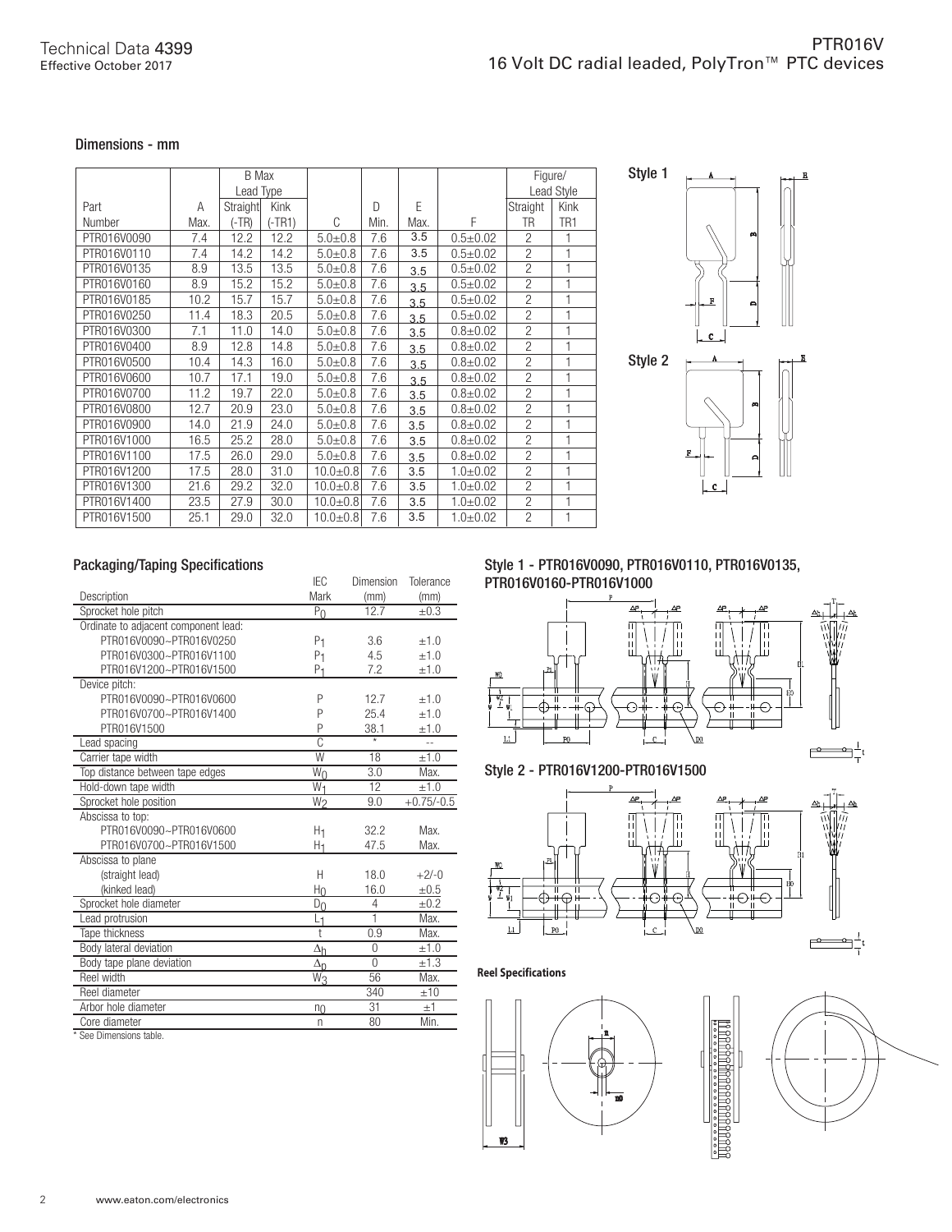### Dimensions - mm

|             |      | <b>B</b> Max |          |              |      |      |              | Figure/        |                 |
|-------------|------|--------------|----------|--------------|------|------|--------------|----------------|-----------------|
|             |      | Lead Type    |          |              |      |      |              |                | Lead Style      |
| Part        | A    | Straight     | Kink     |              | D    | E    |              | Straight       | Kink            |
| Number      | Max. | (-TR)        | $(-TR1)$ | C            | Min. | Max. | F            | TR             | TR <sub>1</sub> |
| PTR016V0090 | 7.4  | 12.2         | 12.2     | $5.0 + 0.8$  | 7.6  | 3.5  | $0.5 + 0.02$ | $\overline{c}$ | 1               |
| PTR016V0110 | 7.4  | 14.2         | 14.2     | $5.0 + 0.8$  | 7.6  | 3.5  | $0.5 + 0.02$ | $\overline{c}$ | 1               |
| PTR016V0135 | 8.9  | 13.5         | 13.5     | $5.0 + 0.8$  | 7.6  | 3.5  | $0.5 + 0.02$ | $\overline{c}$ | 1               |
| PTR016V0160 | 8.9  | 15.2         | 15.2     | $5.0 + 0.8$  | 7.6  | 3.5  | $0.5 + 0.02$ | $\overline{c}$ | 1               |
| PTR016V0185 | 10.2 | 15.7         | 15.7     | $5.0 + 0.8$  | 7.6  | 3.5  | $0.5 + 0.02$ | $\overline{c}$ | 1               |
| PTR016V0250 | 11.4 | 18.3         | 20.5     | $5.0 + 0.8$  | 7.6  | 35   | $0.5 + 0.02$ | $\overline{c}$ | 1               |
| PTR016V0300 | 7.1  | 11.0         | 14.0     | $5.0 + 0.8$  | 7.6  | 3.5  | $0.8 + 0.02$ | $\overline{c}$ | 1               |
| PTR016V0400 | 8.9  | 12.8         | 14.8     | $5.0 + 0.8$  | 7.6  | 3.5  | $0.8 + 0.02$ | $\overline{c}$ | 1               |
| PTR016V0500 | 10.4 | 14.3         | 16.0     | $5.0 + 0.8$  | 7.6  | 3.5  | $0.8 + 0.02$ | $\overline{c}$ | 1               |
| PTR016V0600 | 10.7 | 17.1         | 19.0     | $5.0 + 0.8$  | 7.6  | 3.5  | $0.8 + 0.02$ | $\overline{c}$ | 1               |
| PTR016V0700 | 11.2 | 19.7         | 22.0     | $5.0 + 0.8$  | 7.6  | 3.5  | $0.8 + 0.02$ | $\overline{c}$ | 1               |
| PTR016V0800 | 12.7 | 20.9         | 23.0     | $5.0 + 0.8$  | 7.6  | 3.5  | $0.8 + 0.02$ | $\overline{c}$ | 1               |
| PTR016V0900 | 14.0 | 21.9         | 24.0     | $5.0 + 0.8$  | 7.6  | 3.5  | $0.8 + 0.02$ | $\overline{c}$ | 1               |
| PTR016V1000 | 16.5 | 25.2         | 28.0     | $5.0 + 0.8$  | 7.6  | 3.5  | $0.8 + 0.02$ | $\overline{c}$ | 1               |
| PTR016V1100 | 17.5 | 26.0         | 29.0     | $5.0 + 0.8$  | 7.6  | 3.5  | $0.8 + 0.02$ | $\overline{c}$ | 1               |
| PTR016V1200 | 17.5 | 28.0         | 31.0     | $10.0 + 0.8$ | 7.6  | 3.5  | $1.0 + 0.02$ | $\overline{c}$ |                 |
| PTR016V1300 | 21.6 | 29.2         | 32.0     | $10.0 + 0.8$ | 7.6  | 3.5  | $1.0 + 0.02$ | $\overline{c}$ | 1               |
| PTR016V1400 | 23.5 | 27.9         | 30.0     | $10.0 + 0.8$ | 7.6  | 3.5  | $1.0 + 0.02$ | $\overline{c}$ | 1               |
| PTR016V1500 | 25.1 | 29.0         | 32.0     | $10.0 + 0.8$ | 7.6  | 3.5  | $1.0 + 0.02$ | $\overline{c}$ | 1               |



# Packaging/Taping Specifications

|                                      | IEC                      | Dimension      | Tolerance      |
|--------------------------------------|--------------------------|----------------|----------------|
| Description                          | Mark                     | (mm)           | (mm)           |
| Sprocket hole pitch                  | $P_{\Omega}$             | 12.7           | $\pm 0.3$      |
| Ordinate to adjacent component lead: |                          |                |                |
| PTR016V0090~PTR016V0250              | P <sub>1</sub>           | 3.6            | $+1.0$         |
| PTR016V0300~PTR016V1100              | P <sub>1</sub>           | 4.5            | $+1.0$         |
| PTR016V1200~PTR016V1500              | P <sub>1</sub>           | 7.2            | ±1.0           |
| Device pitch:                        |                          |                |                |
| PTR016V0090~PTR016V0600              | P                        | 12.7           | $+1.0$         |
| PTR016V0700~PTR016V1400              | P                        | 25.4           | ±1.0           |
| PTR016V1500                          | P                        | 38.1           | ±1.0           |
| Lead spacing                         | $\overline{C}$           |                | $\overline{a}$ |
| Carrier tape width                   | $\overline{W}$           | 18             | $+1.0$         |
| Top distance between tape edges      | $\overline{W}_0$         | 3.0            | Max.           |
| Hold-down tape width                 | $W_1$                    | 12             | $+1.0$         |
| Sprocket hole position               | W <sub>2</sub>           | 9.0            | $+0.75/-0.5$   |
| Abscissa to top:                     |                          |                |                |
| PTR016V0090~PTR016V0600              | H1                       | 32.2           | Max.           |
| PTR016V0700~PTR016V1500              | H1                       | 47.5           | Max.           |
| Abscissa to plane                    |                          |                |                |
| (straight lead)                      | Н                        | 18.0           | $+2/-0$        |
| (kinked lead)                        | Ho                       | 16.0           | $\pm 0.5$      |
| Sprocket hole diameter               | $D_{0}$                  | 4              | ±0.2           |
| Lead protrusion                      | L <sub>1</sub>           | 1              | Max.           |
| Tape thickness                       | $\ddagger$               | 0.9            | Max.           |
| Body lateral deviation               | $\Delta_{\underline{h}}$ | $\Omega$       | ±1.0           |
| Body tape plane deviation            | $\Delta_{\underline{D}}$ | $\overline{0}$ | ±1.3           |
| Reel width                           | $\overline{W_3}$         | 56             | Max.           |
| Reel diameter                        |                          | 340            | ±10            |
| Arbor hole diameter                  | n <sub>0</sub>           | 31             | ±1             |
| Core diameter                        | $\overline{\phantom{a}}$ | 80             | Min.           |

\* See Dimensions table.

Style 1 - PTR016V0090, PTR016V0110, PTR016V0135, PTR016V0160-PTR016V1000





**RARABAR** 

**Reel Specifications**



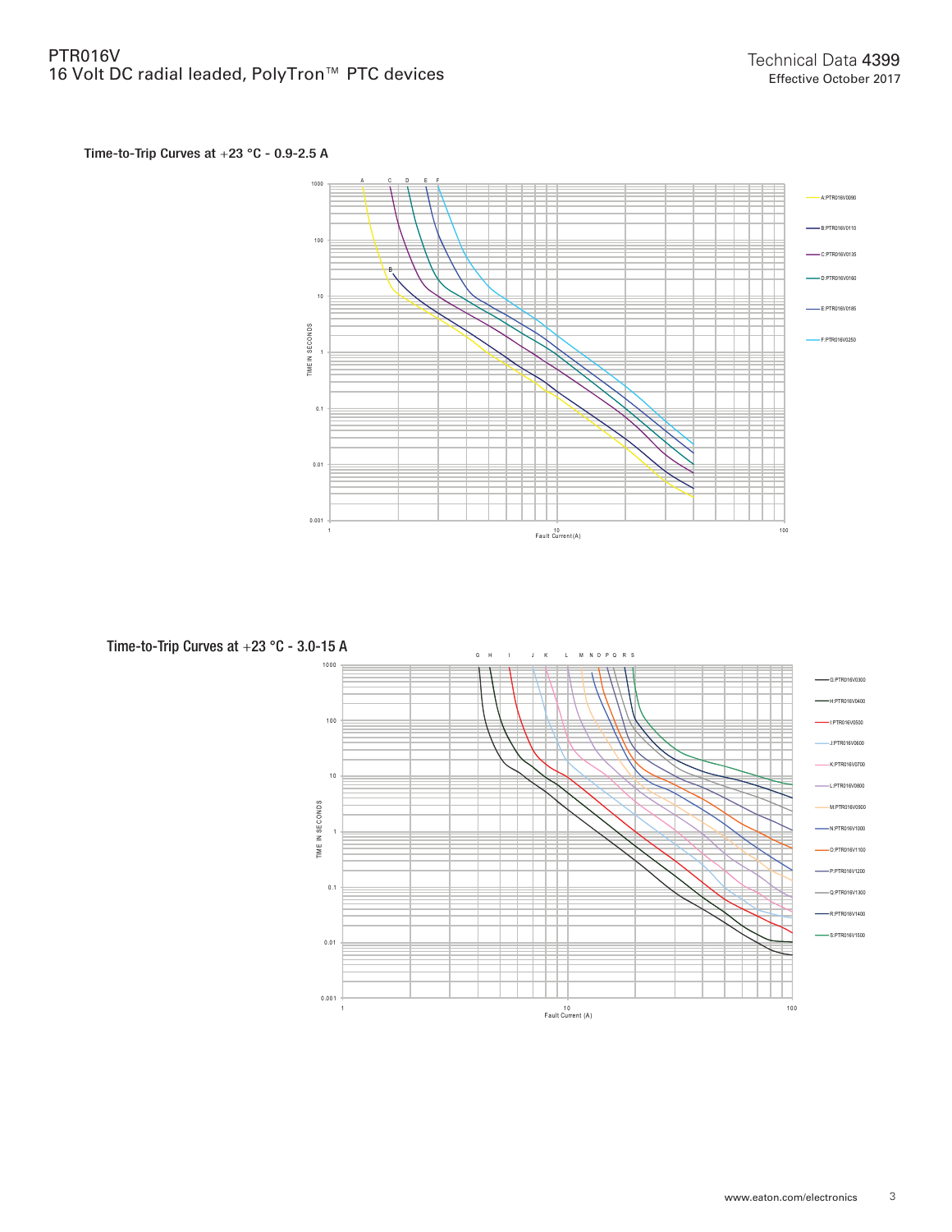# Time-to-Trip Curves at +23 °C - 0.9-2.5 A



Time-to-Trip Curves at +23 °C - 3.0-15 AG H I J K L M N O P Q R S 1000 G:PTR016V0300 H:PTR016V0400 100 I:PTR016V0500 J:PTR016V0600 K:PTR016V0700 1 0 L:PTR016V0800 TME IN SECONDS TIM E IN S E CO ND S M:PTR016V0900 N:PTR016V1000 1 O:PTR016V1100 P:PTR016V1200 0.1 Q:PTR016V1300 -R:PTR016V1400 S:PTR016V1500 0.01

1 1 0 100 Fault Current (A )

0.001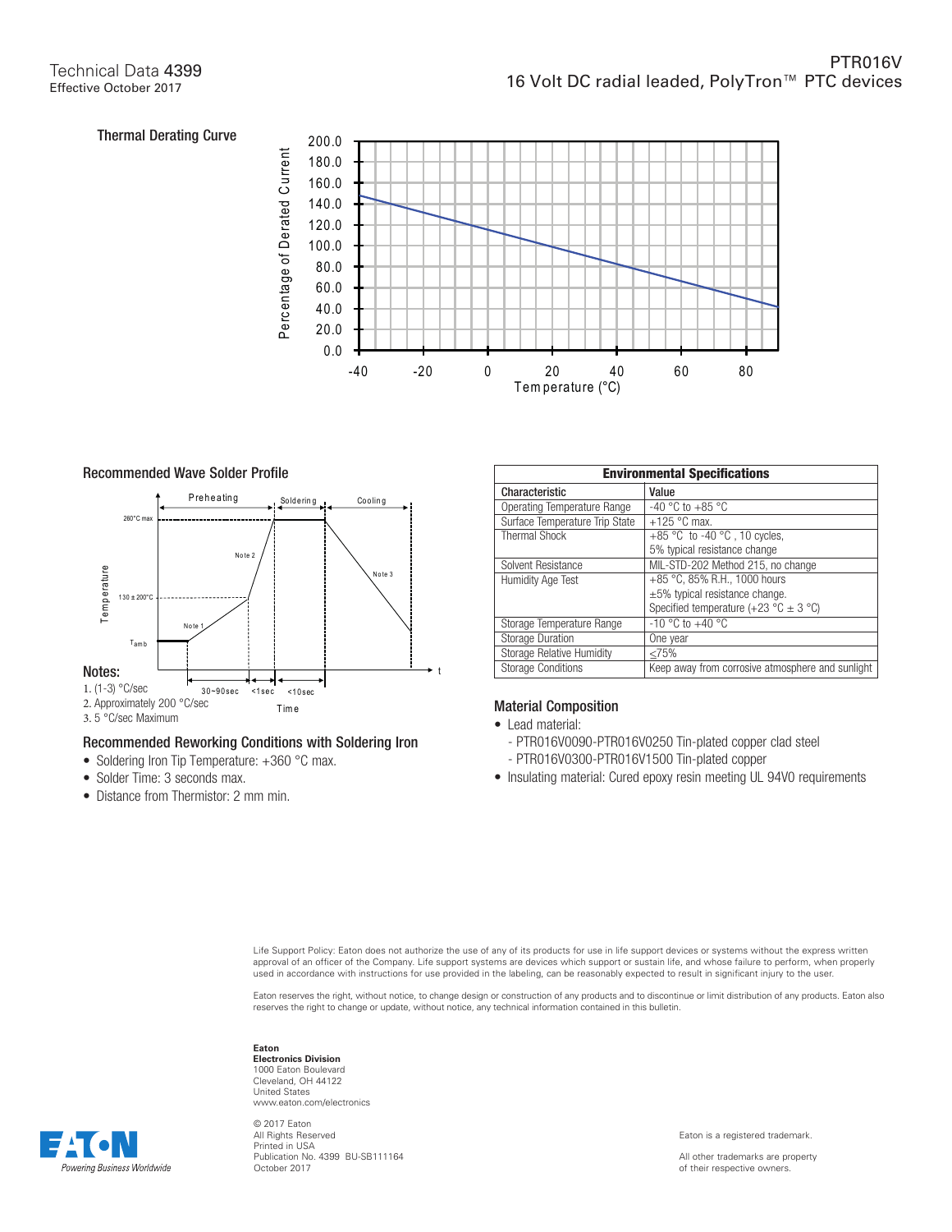

# Recommended Wave Solder Profile



# Recommended Reworking Conditions with Soldering Iron

- Soldering Iron Tip Temperature: +360 °C max.
- Solder Time: 3 seconds max.
- Distance from Thermistor: 2 mm min.

| <b>Environmental Specifications</b> |                                                         |  |  |  |
|-------------------------------------|---------------------------------------------------------|--|--|--|
| Characteristic                      | Value                                                   |  |  |  |
| Operating Temperature Range         | -40 °C to +85 °C                                        |  |  |  |
| Surface Temperature Trip State      | $+125$ °C max.                                          |  |  |  |
| <b>Thermal Shock</b>                | +85 °C to -40 °C, 10 cycles,                            |  |  |  |
|                                     | 5% typical resistance change                            |  |  |  |
| Solvent Resistance                  | MIL-STD-202 Method 215, no change                       |  |  |  |
| <b>Humidity Age Test</b>            | +85 °C, 85% R.H., 1000 hours                            |  |  |  |
|                                     | $\pm 5\%$ typical resistance change.                    |  |  |  |
|                                     | Specified temperature $(+23 \degree C \pm 3 \degree C)$ |  |  |  |
| Storage Temperature Range           | $-10$ °C to $+40$ °C                                    |  |  |  |
| <b>Storage Duration</b>             | One year                                                |  |  |  |
| <b>Storage Relative Humidity</b>    | <75%                                                    |  |  |  |
| <b>Storage Conditions</b>           | Keep away from corrosive atmosphere and sunlight        |  |  |  |

# Material Composition

- Lead material:
	- PTR016V0090-PTR016V0250 Tin-plated copper clad steel - PTR016V0300-PTR016V1500 Tin-plated copper
- Insulating material: Cured epoxy resin meeting UL 94V0 requirements

Life Support Policy: Eaton does not authorize the use of any of its products for use in life support devices or systems without the express written approval of an officer of the Company. Life support systems are devices which support or sustain life, and whose failure to perform, when properly<br>used in accordance with instructions for use provided in the labeling, can

Eaton reserves the right, without notice, to change design or construction of any products and to discontinue or limit distribution of any products. Eaton also reserves the right to change or update, without notice, any technical information contained in this bulletin.

# **Eaton**

**Electronics Division** 1000 Eaton Boulevard Cleveland, OH 44122 United States www.eaton.com/electronics

© 2017 Eaton All Rights Reserved Printed in USA Publication No. 4399 BU-SB111164 October 2017

Eaton is a registered trademark.

All other trademarks are property of their respective owners.